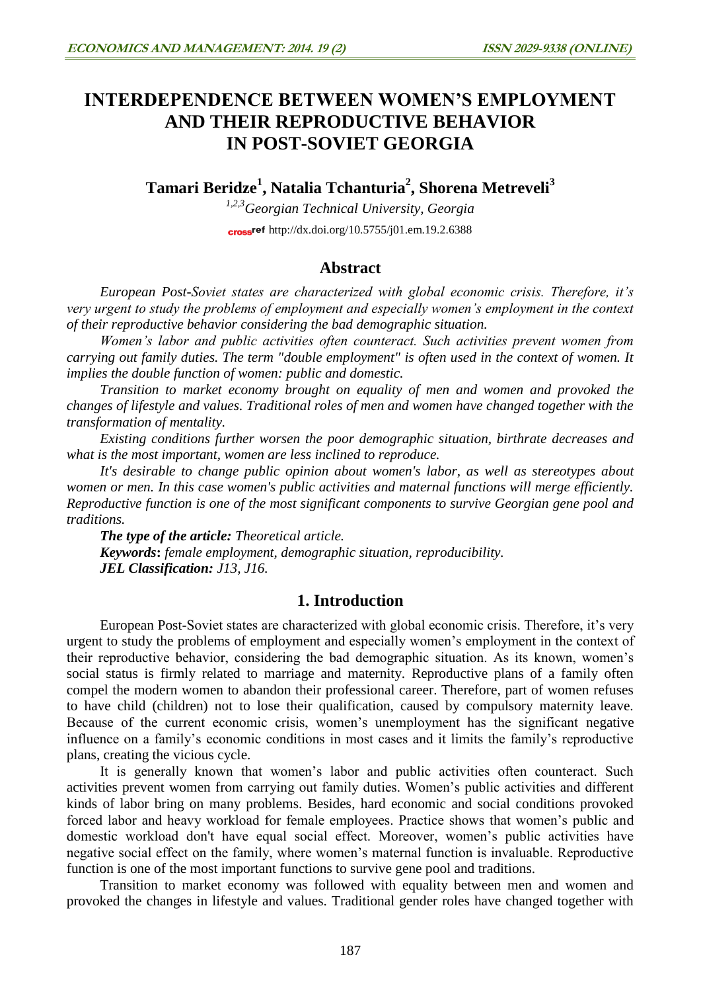# **INTERDEPENDENCE BETWEEN WOMEN'S EMPLOYMENT AND THEIR REPRODUCTIVE BEHAVIOR IN POST-SOVIET GEORGIA**

**Tamari Beridze<sup>1</sup> , Natalia Tchanturia<sup>2</sup> , Shorena Metreveli<sup>3</sup>**

*1,2,3Georgian Technical University, Georgia* cross<sup>ref</sup> <http://dx.doi.org/10.5755/j01.em.19.2.6388>

## **Abstract**

*European Post-Soviet states are characterized with global economic crisis. Therefore, it's very urgent to study the problems of employment and especially women's employment in the context of their reproductive behavior considering the bad demographic situation.* 

*Women's labor and public activities often counteract. Such activities prevent women from carrying out family duties. The term "double employment" is often used in the context of women. It implies the double function of women: public and domestic.*

*Transition to market economy brought on equality of men and women and provoked the changes of lifestyle and values. Traditional roles of men and women have changed together with the transformation of mentality.*

*Existing conditions further worsen the poor demographic situation, birthrate decreases and what is the most important, women are less inclined to reproduce.* 

*It's desirable to change public opinion about women's labor, as well as stereotypes about women or men. In this case women's public activities and maternal functions will merge efficiently. Reproductive function is one of the most significant components to survive Georgian gene pool and traditions.*

*The type of the article: Theoretical article. Keywords***:** *female employment, demographic situation, reproducibility. JEL Classification: J13, J16.*

## **1. Introduction**

European Post-Soviet states are characterized with global economic crisis. Therefore, it's very urgent to study the problems of employment and especially women's employment in the context of their reproductive behavior, considering the bad demographic situation. As its known, women's social status is firmly related to marriage and maternity. Reproductive plans of a family often compel the modern women to abandon their professional career. Therefore, part of women refuses to have child (children) not to lose their qualification, caused by compulsory maternity leave. Because of the current economic crisis, women's unemployment has the significant negative influence on a family's economic conditions in most cases and it limits the family's reproductive plans, creating the vicious cycle.

It is generally known that women's labor and public activities often counteract. Such activities prevent women from carrying out family duties. Women's public activities and different kinds of labor bring on many problems. Besides, hard economic and social conditions provoked forced labor and heavy workload for female employees. Practice shows that women's public and domestic workload don't have equal social effect. Moreover, women's public activities have negative social effect on the family, where women's maternal function is invaluable. Reproductive function is one of the most important functions to survive gene pool and traditions.

Transition to market economy was followed with equality between men and women and provoked the changes in lifestyle and values. Traditional gender roles have changed together with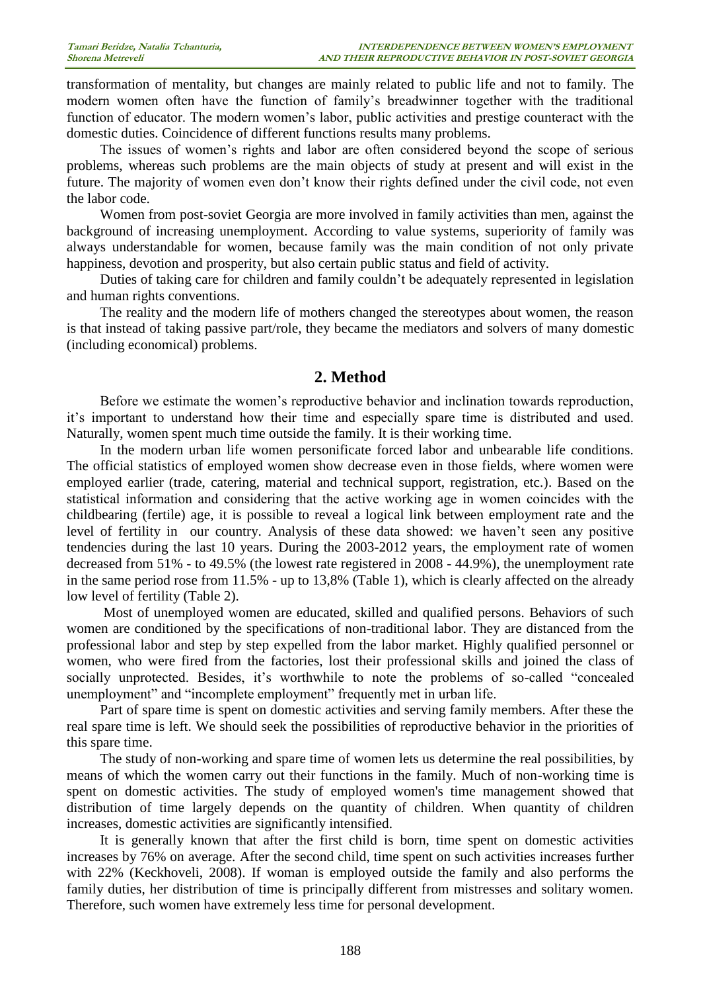transformation of mentality, but changes are mainly related to public life and not to family. The modern women often have the function of family's breadwinner together with the traditional function of educator. The modern women's labor, public activities and prestige counteract with the domestic duties. Coincidence of different functions results many problems.

The issues of women's rights and labor are often considered beyond the scope of serious problems, whereas such problems are the main objects of study at present and will exist in the future. The majority of women even don't know their rights defined under the civil code, not even the labor code.

Women from post-soviet Georgia are more involved in family activities than men, against the background of increasing unemployment. According to value systems, superiority of family was always understandable for women, because family was the main condition of not only private happiness, devotion and prosperity, but also certain public status and field of activity.

Duties of taking care for children and family couldn't be adequately represented in legislation and human rights conventions.

The reality and the modern life of mothers changed the stereotypes about women, the reason is that instead of taking passive part/role, they became the mediators and solvers of many domestic (including economical) problems.

### **2. Method**

Before we estimate the women's reproductive behavior and inclination towards reproduction, it's important to understand how their time and especially spare time is distributed and used. Naturally, women spent much time outside the family. It is their working time.

In the modern urban life women personificate forced labor and unbearable life conditions. The official statistics of employed women show decrease even in those fields, where women were employed earlier (trade, catering, material and technical support, registration, etc.). Вased on the statistical information and сonsidering that the active working age in women coincides with the childbearing (fertile) age, it is possible to reveal a logical link between employment rate and the level of fertility in our country. Analysis of these data showed: we haven't seen any positive tendencies during the last 10 years. During the 2003-2012 years, the employment rate of women decreased from 51% - to 49.5% (the lowest rate registered in 2008 - 44.9%), the unemployment rate in the same period rose from 11.5% - up to 13,8% (Table 1), which is clearly affected on the already low level of fertility (Table 2).

Most of unemployed women are educated, skilled and qualified persons. Behaviors of such women are conditioned by the specifications of non-traditional labor. They are distanced from the professional labor and step by step expelled from the labor market. Highly qualified personnel or women, who were fired from the factories, lost their professional skills and joined the class of socially unprotected. Besides, it's worthwhile to note the problems of so-called "concealed unemployment" and "incomplete employment" frequently met in urban life.

Part of spare time is spent on domestic activities and serving family members. After these the real spare time is left. We should seek the possibilities of reproductive behavior in the priorities of this spare time.

The study of non-working and spare time of women lets us determine the real possibilities, by means of which the women carry out their functions in the family. Much of non-working time is spent on domestic activities. The study of employed women's time management showed that distribution of time largely depends on the quantity of children. When quantity of children increases, domestic activities are significantly intensified.

It is generally known that after the first child is born, time spent on domestic activities increases by 76% on average. After the second child, time spent on such activities increases further with 22% (Keckhoveli, 2008). If woman is employed outside the family and also performs the family duties, her distribution of time is principally different from mistresses and solitary women. Therefore, such women have extremely less time for personal development.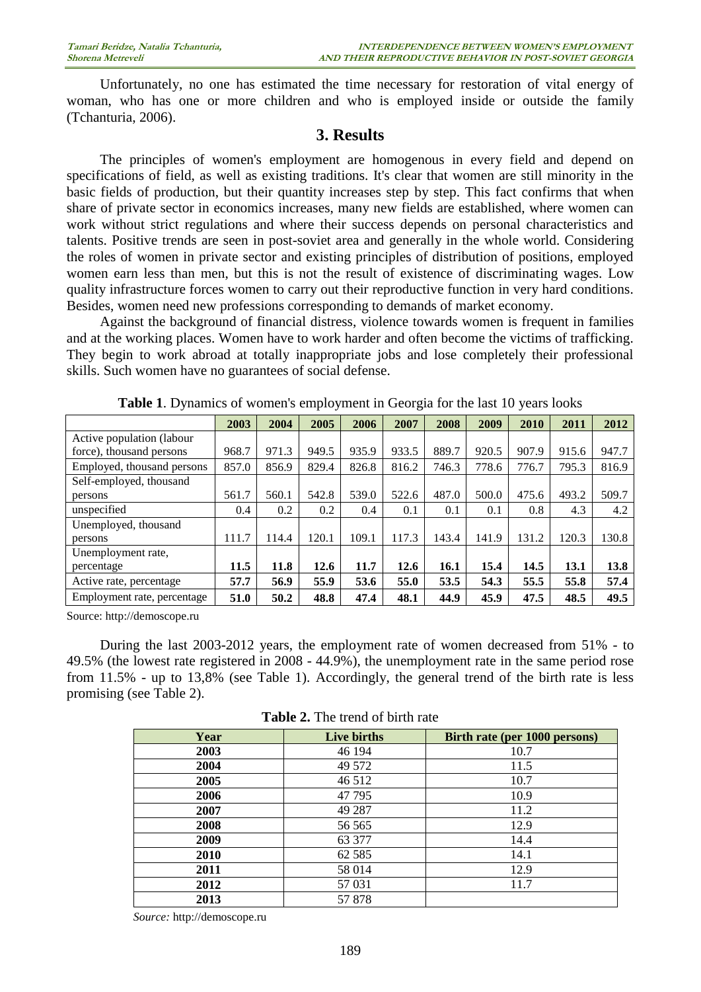Unfortunately, no one has estimated the time necessary for restoration of vital energy of woman, who has one or more children and who is employed inside or outside the family (Tchanturia, 2006).

### **3. Results**

The principles of women's employment are homogenous in every field and depend on specifications of field, as well as existing traditions. It's clear that women are still minority in the basic fields of production, but their quantity increases step by step. This fact confirms that when share of private sector in economics increases, many new fields are established, where women can work without strict regulations and where their success depends on personal characteristics and talents. Positive trends are seen in post-soviet area and generally in the whole world. Considering the roles of women in private sector and existing principles of distribution of positions, employed women earn less than men, but this is not the result of existence of discriminating wages. Low quality infrastructure forces women to carry out their reproductive function in very hard conditions. Besides, women need new professions corresponding to demands of market economy.

Against the background of financial distress, violence towards women is frequent in families and at the working places. Women have to work harder and often become the victims of trafficking. They begin to work abroad at totally inappropriate jobs and lose completely their professional skills. Such women have no guarantees of social defense.

|                             | 2003  | 2004  | 2005  | 2006  | 2007  | 2008  | 2009  | 2010  | 2011  | 2012  |
|-----------------------------|-------|-------|-------|-------|-------|-------|-------|-------|-------|-------|
| Active population (labour   |       |       |       |       |       |       |       |       |       |       |
| force), thousand persons    | 968.7 | 971.3 | 949.5 | 935.9 | 933.5 | 889.7 | 920.5 | 907.9 | 915.6 | 947.7 |
| Employed, thousand persons  | 857.0 | 856.9 | 829.4 | 826.8 | 816.2 | 746.3 | 778.6 | 776.7 | 795.3 | 816.9 |
| Self-employed, thousand     |       |       |       |       |       |       |       |       |       |       |
| persons                     | 561.7 | 560.1 | 542.8 | 539.0 | 522.6 | 487.0 | 500.0 | 475.6 | 493.2 | 509.7 |
| unspecified                 | 0.4   | 0.2   | 0.2   | 0.4   | 0.1   | 0.1   | 0.1   | 0.8   | 4.3   | 4.2   |
| Unemployed, thousand        |       |       |       |       |       |       |       |       |       |       |
| persons                     | 111.7 | 114.4 | 120.1 | 109.1 | 117.3 | 143.4 | 141.9 | 131.2 | 120.3 | 130.8 |
| Unemployment rate,          |       |       |       |       |       |       |       |       |       |       |
| percentage                  | 11.5  | 11.8  | 12.6  | 11.7  | 12.6  | 16.1  | 15.4  | 14.5  | 13.1  | 13.8  |
| Active rate, percentage     | 57.7  | 56.9  | 55.9  | 53.6  | 55.0  | 53.5  | 54.3  | 55.5  | 55.8  | 57.4  |
| Employment rate, percentage | 51.0  | 50.2  | 48.8  | 47.4  | 48.1  | 44.9  | 45.9  | 47.5  | 48.5  | 49.5  |

**Table 1**. Dynamics of women's employment in Georgia for the last 10 years looks

Source[: http://demoscope.ru](http://demoscope.ru/)

During the last 2003-2012 years, the employment rate of women decreased from 51% - to 49.5% (the lowest rate registered in 2008 - 44.9%), the unemployment rate in the same period rose from 11.5% - up to 13,8% (see Table 1). Accordingly, the general trend of the birth rate is less promising (see Table 2).

| <b>Table 2.</b> The trend of birth rate |  |  |
|-----------------------------------------|--|--|
|-----------------------------------------|--|--|

| Year | Live births | Birth rate (per 1000 persons) |
|------|-------------|-------------------------------|
| 2003 | 46 194      | 10.7                          |
| 2004 | 49 572      | 11.5                          |
| 2005 | 46 512      | 10.7                          |
| 2006 | 47 795      | 10.9                          |
| 2007 | 49 287      | 11.2                          |
| 2008 | 56 565      | 12.9                          |
| 2009 | 63 377      | 14.4                          |
| 2010 | 62 5 85     | 14.1                          |
| 2011 | 58 014      | 12.9                          |
| 2012 | 57 031      | 11.7                          |
| 2013 | 57 878      |                               |

*Source:* http://demoscope.ru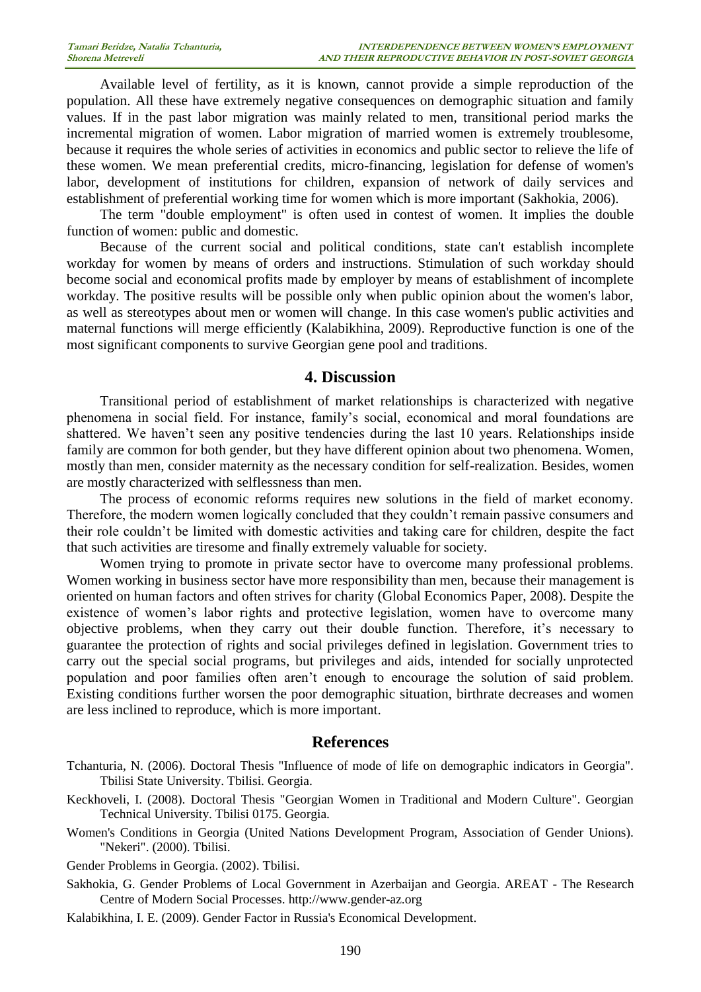Available level of fertility, as it is known, cannot provide a simple reproduction of the population. All these have extremely negative consequences on demographic situation and family values. If in the past labor migration was mainly related to men, transitional period marks the incremental migration of women. Labor migration of married women is extremely troublesome, because it requires the whole series of activities in economics and public sector to relieve the life of these women. We mean preferential credits, micro-financing, legislation for defense of women's labor, development of institutions for children, expansion of network of daily services and establishment of preferential working time for women which is more important (Sakhokia, 2006).

The term "double employment" is often used in contest of women. It implies the double function of women: public and domestic.

Because of the current social and political conditions, state can't establish incomplete workday for women by means of orders and instructions. Stimulation of such workday should become social and economical profits made by employer by means of establishment of incomplete workday. The positive results will be possible only when public opinion about the women's labor, as well as stereotypes about men or women will change. In this case women's public activities and maternal functions will merge efficiently (Kalabikhina, 2009). Reproductive function is one of the most significant components to survive Georgian gene pool and traditions.

#### **4. Discussion**

Transitional period of establishment of market relationships is characterized with negative phenomena in social field. For instance, family's social, economical and moral foundations are shattered. We haven't seen any positive tendencies during the last 10 years. Relationships inside family are common for both gender, but they have different opinion about two phenomena. Women, mostly than men, consider maternity as the necessary condition for self-realization. Besides, women are mostly characterized with selflessness than men.

The process of economic reforms requires new solutions in the field of market economy. Therefore, the modern women logically concluded that they couldn't remain passive consumers and their role couldn't be limited with domestic activities and taking care for children, despite the fact that such activities are tiresome and finally extremely valuable for society.

Women trying to promote in private sector have to overcome many professional problems. Women working in business sector have more responsibility than men, because their management is oriented on human factors and often strives for charity (Global Economics Paper, 2008). Despite the existence of women's labor rights and protective legislation, women have to overcome many objective problems, when they carry out their double function. Therefore, it's necessary to guarantee the protection of rights and social privileges defined in legislation. Government tries to carry out the special social programs, but privileges and aids, intended for socially unprotected population and poor families often aren't enough to encourage the solution of said problem. Existing conditions further worsen the poor demographic situation, birthrate decreases and women are less inclined to reproduce, which is more important.

#### **References**

- Tchanturia, N. (2006). Doctoral Thesis "Influence of mode of life on demographic indicators in Georgia". Tbilisi State University. Tbilisi. Georgia.
- Keckhoveli, I. (2008). Doctoral Thesis "Georgian Women in Traditional and Modern Culture". Georgian Technical University. Tbilisi 0175. Georgia.
- Women's Conditions in Georgia (United Nations Development Program, Association of Gender Unions). "Nekeri". (2000). Tbilisi.
- Gender Problems in Georgia. (2002). Tbilisi.
- Sakhokia, G. Gender Problems of Local Government in Azerbaijan and Georgia. AREAT The Research Centre of Modern Social Processes. [http://www.gender-az.org](http://www.gender-az.org/)
- Kalabikhina, I. E. (2009). Gender Factor in Russia's Economical Development.